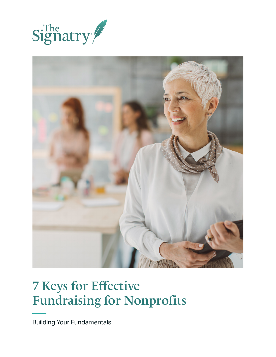



# 7 Keys for Effective Fundraising for Nonprofits

Building Your Fundamentals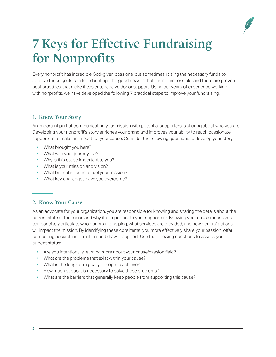

## 7 Keys for Effective Fundraising for Nonprofits

Every nonprofit has incredible God-given passions, but sometimes raising the necessary funds to achieve those goals can feel daunting. The good news is that it is not impossible, and there are proven best practices that make it easier to receive donor support. Using our years of experience working with nonprofits, we have developed the following 7 practical steps to improve your fundraising.

### 1. Know Your Story

An important part of communicating your mission with potential supporters is sharing about who you are. Developing your nonprofit's story enriches your brand and improves your ability to reach passionate supporters to make an impact for your cause. Consider the following questions to develop your story:

- What brought you here?
- What was your journey like?
- Why is this cause important to you?
- What is your mission and vision?
- What biblical influences fuel your mission?
- What key challenges have you overcome?

#### 2. Know Your Cause

As an advocate for your organization, you are responsible for knowing and sharing the details about the current state of the cause and why it is important to your supporters. Knowing your cause means you can concisely articulate who donors are helping, what services are provided, and how donors' actions will impact the mission. By identifying these core items, you more effectively share your passion, offer compelling accurate information, and draw in support. Use the following questions to assess your current status:

- Are you intentionally learning more about your cause/mission field?
- What are the problems that exist within your cause?
- What is the long-term goal you hope to achieve?
- How much support is necessary to solve these problems?
- What are the barriers that generally keep people from supporting this cause?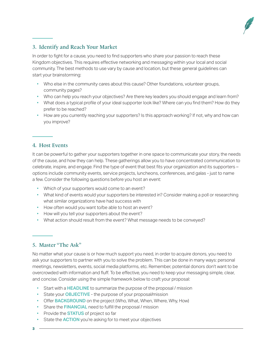

## 3. Identify and Reach Your Market

In order to fight for a cause, you need to find supporters who share your passion to reach these Kingdom objectives. This requires effective networking and messaging within your local and social community. The best methods to use vary by cause and location, but these general guidelines can start your brainstorming:

- Who else in the community cares about this cause? Other foundations, volunteer groups, community pages?
- Who can help you reach your objectives? Are there key leaders you should engage and learn from?
- What does a typical profile of your ideal supporter look like? Where can you find them? How do they prefer to be reached?
- How are you currently reaching your supporters? Is this approach working? If not, why and how can you improve?

#### 4. Host Events

It can be powerful to gather your supporters together in one space to communicate your story, the needs of the cause, and how they can help. These gatherings allow you to have concentrated communication to celebrate, inspire, and engage. Find the type of event that best fits your organization and its supporters – options include community events, service projects, luncheons, conferences, and galas - just to name a few. Consider the following questions before you host an event:

- Which of your supporters would come to an event?
- What kind of events would your supporters be interested in? Consider making a poll or researching what similar organizations have had success with
- How often would you want to/be able to host an event?
- How will you tell your supporters about the event?
- What action should result from the event? What message needs to be conveyed?

#### 5. Master "The Ask"

No matter what your cause is or how much support you need, in order to acquire donors, you need to ask your supporters to partner with you to solve the problem. This can be done in many ways: personal meetings, newsletters, events, social media platforms, etc. Remember, potential donors don't want to be overcrowded with information and fluff. To be effective, you need to keep your messaging simple, clear, and concise. Consider using the simple framework below to craft your proposal:

- Start with a **HEADLINE** to summarize the purpose of the proposal / mission
- State your **OBJECTIVE** the purpose of your proposal/mission
- Offer BACKGROUND on the project (Who, What, When, Where, Why, How)
- Share the **FINANCIAL** need to fulfill the proposal / mission
- Provide the **STATUS** of project so far
- State the **ACTION** you're asking for to meet your objectives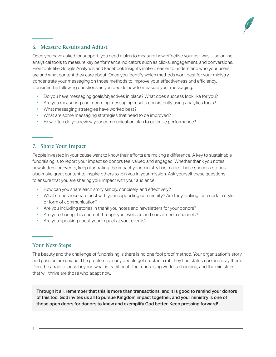

## 6. Measure Results and Adjust

Once you have asked for support, you need a plan to measure how effective your ask was. Use online analytical tools to measure key performance indicators such as clicks, engagement, and conversions. Free tools like Google Analytics and Facebook Insights make it easier to understand who your users are and what content they care about. Once you identify which methods work best for your ministry, concentrate your messaging on those methods to improve your effectiveness and efficiency. Consider the following questions as you decide how to measure your messaging:

- Do you have messaging goals/objectives in place? What does success look like for you?
- Are you measuring and recording messaging results consistently using analytics tools?
- What messaging strategies have worked best?
- What are some messaging strategies that need to be improved?
- How often do you review your communication plan to optimize performance?

#### 7. Share Your Impact

People invested in your cause want to know their efforts are making a difference. A key to sustainable fundraising is to report your impact so donors feel valued and engaged. Whether thank you notes, newsletters, or events, keep illustrating the impact your ministry has made. These success stories also make great content to inspire others to join you in your mission. Ask yourself these questions to ensure that you are sharing your impact with your audience:

- How can you share each story simply, concisely, and effectively?
- What stories resonate best with your supporting community? Are they looking for a certain style or form of communication?
- Are you including stories in thank you notes and newsletters for your donors?
- Are you sharing this content through your website and social media channels?
- Are you speaking about your impact at your events?

#### Your Next Steps

The beauty and the challenge of fundraising is there is no one fool proof method. Your organization's story and passion are unique. The problem is many people get stuck in a rut; they find status quo and stay there. Don't be afraid to push beyond what is traditional. The fundraising world is changing, and the ministries that will thrive are those who adapt now.

Through it all, remember that this is more than transactions, and it is good to remind your donors of this too. God invites us all to pursue Kingdom impact together, and your ministry is one of those open doors for donors to know and exemplify God better. Keep pressing forward!